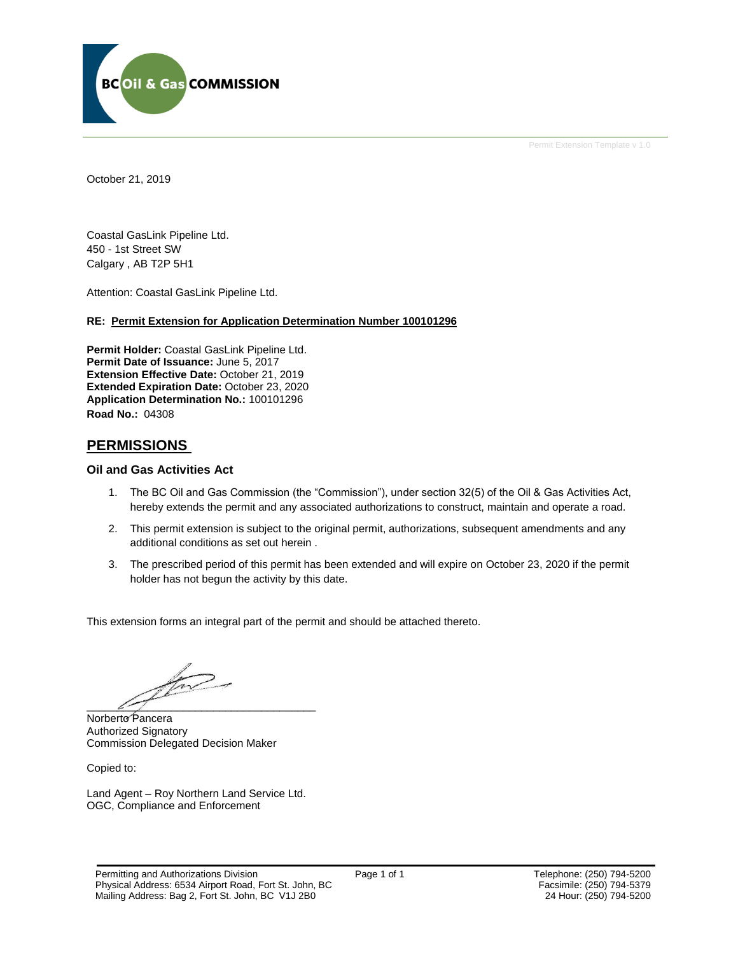

Permit Extension Template v 1.0

October 21, 2019

Coastal GasLink Pipeline Ltd. 450 - 1st Street SW Calgary , AB T2P 5H1

Attention: Coastal GasLink Pipeline Ltd.

#### **RE: Permit Extension for Application Determination Number 100101296**

**Permit Holder:** Coastal GasLink Pipeline Ltd. **Permit Date of Issuance:** June 5, 2017 **Extension Effective Date:** October 21, 2019 **Extended Expiration Date:** October 23, 2020 **Application Determination No.:** 100101296 **Road No.:** 04308

## **PERMISSIONS**

## **Oil and Gas Activities Act**

- 1. The BC Oil and Gas Commission (the "Commission"), under section 32(5) of the Oil & Gas Activities Act, hereby extends the permit and any associated authorizations to construct, maintain and operate a road.
- 2. This permit extension is subject to the original permit, authorizations, subsequent amendments and any additional conditions as set out herein .
- 3. The prescribed period of this permit has been extended and will expire on October 23, 2020 if the permit holder has not begun the activity by this date.

This extension forms an integral part of the permit and should be attached thereto.

 $\frac{1}{\sqrt{2}}$  $\overline{\mathcal{L}}$ 

Norberto Pancera Authorized Signatory Commission Delegated Decision Maker

Copied to:

Land Agent – Roy Northern Land Service Ltd. OGC, Compliance and Enforcement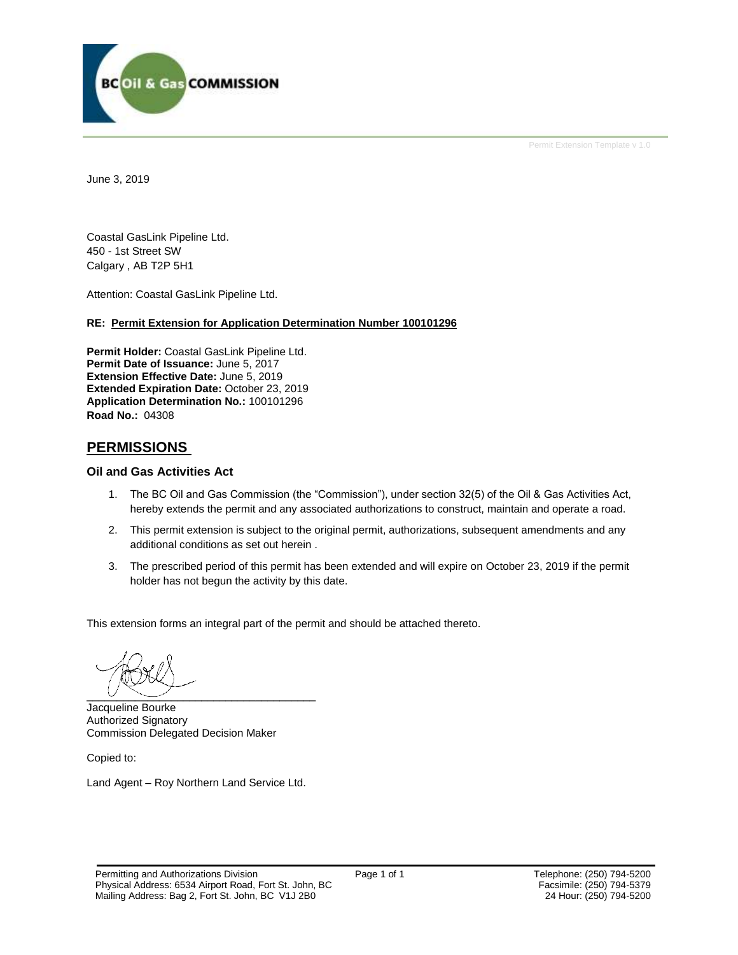

Permit Extension Template v 1.0

June 3, 2019

Coastal GasLink Pipeline Ltd. 450 - 1st Street SW Calgary , AB T2P 5H1

Attention: Coastal GasLink Pipeline Ltd.

## **RE: Permit Extension for Application Determination Number 100101296**

**Permit Holder:** Coastal GasLink Pipeline Ltd. **Permit Date of Issuance:** June 5, 2017 **Extension Effective Date:** June 5, 2019 **Extended Expiration Date:** October 23, 2019 **Application Determination No.:** 100101296 **Road No.:** 04308

## **PERMISSIONS**

## **Oil and Gas Activities Act**

- 1. The BC Oil and Gas Commission (the "Commission"), under section 32(5) of the Oil & Gas Activities Act, hereby extends the permit and any associated authorizations to construct, maintain and operate a road.
- 2. This permit extension is subject to the original permit, authorizations, subsequent amendments and any additional conditions as set out herein .
- 3. The prescribed period of this permit has been extended and will expire on October 23, 2019 if the permit holder has not begun the activity by this date.

This extension forms an integral part of the permit and should be attached thereto.

 $\overline{\phantom{a}}$ 

Jacqueline Bourke Authorized Signatory Commission Delegated Decision Maker

Copied to:

Land Agent – Roy Northern Land Service Ltd.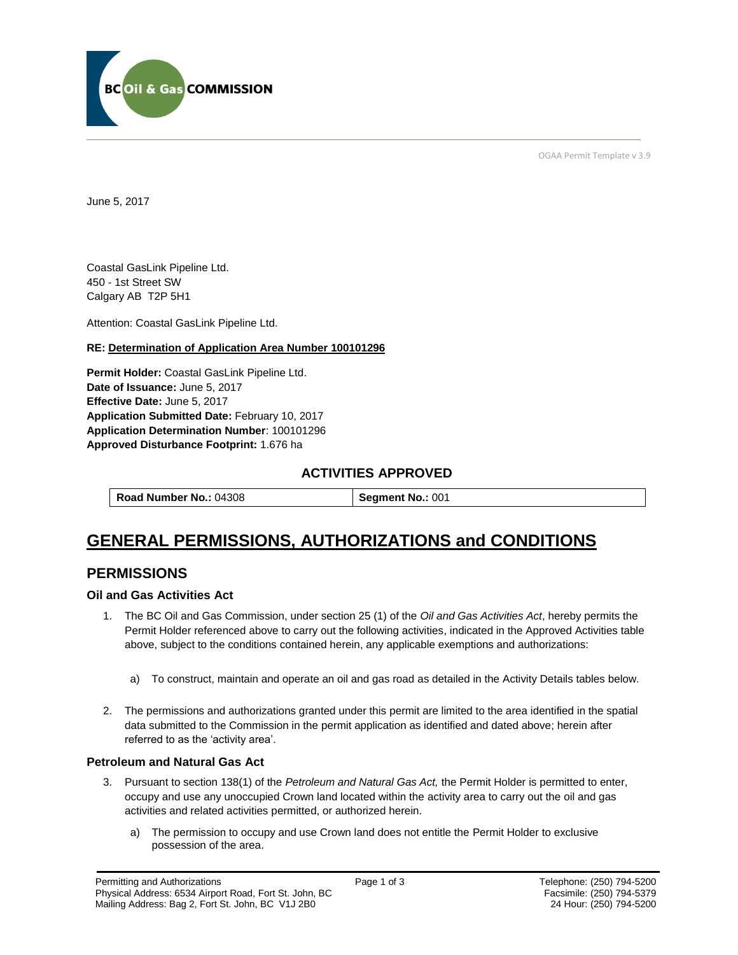

OGAA Permit Template v 3.9

June 5, 2017

Coastal GasLink Pipeline Ltd. 450 - 1st Street SW Calgary AB T2P 5H1

[Attention:](#page-2-0) Coastal GasLink Pipeline Ltd.

## **RE: Determination of Application Area Number 100101296**

**[Permit Holder:](#page-2-0)** Coastal GasLink Pipeline Ltd. **[Date of Issuance:](#page-2-0)** June 5, 2017 **[Effective Date:](#page-2-1)** June 5, 2017 **[Application Submitted Date:](#page-2-0)** February 10, 2017 **[Application Determination Number](#page-2-0)**: 100101296 **Approved Disturbance Footprint:** 1.676 ha

## **ACTIVITIES APPROVED**

# **GENERAL PERMISSIONS, AUTHORIZATIONS and CONDITIONS**

## **PERMISSIONS**

## **Oil and Gas Activities Act**

- <span id="page-2-0"></span>1. The BC Oil and Gas Commission, under section 25 (1) of the *Oil and Gas Activities Act*, hereby permits the Permit Holder referenced above to carry out the following activities, indicated in the Approved Activities table above, subject to the conditions contained herein, any applicable exemptions and authorizations:
	- a) To construct, maintain and operate an oil and gas road as detailed in the Activity Details tables below.
- <span id="page-2-1"></span>2. The permissions and authorizations granted under this permit are limited to the area identified in the spatial data submitted to the Commission in the permit application as identified and dated above; herein after referred to as the 'activity area'.

## **Petroleum and Natural Gas Act**

- 3. Pursuant to section 138(1) of the *Petroleum and Natural Gas Act,* the Permit Holder is permitted to enter, occupy and use any unoccupied Crown land located within the activity area to carry out the oil and gas activities and related activities permitted, or authorized herein.
	- a) The permission to occupy and use Crown land does not entitle the Permit Holder to exclusive possession of the area.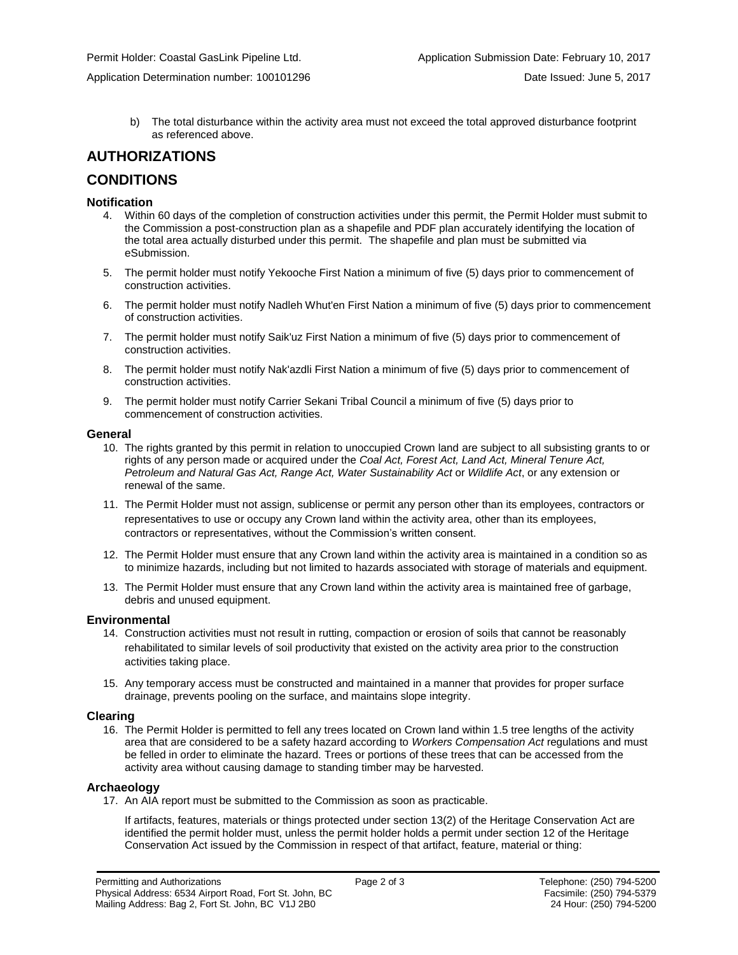b) The total disturbance within the activity area must not exceed the total approved disturbance footprint as referenced above.

## **AUTHORIZATIONS**

## **CONDITIONS**

#### **Notification**

- 4. Within 60 days of the completion of construction activities under this permit, the Permit Holder must submit to the Commission a post-construction plan as a shapefile and PDF plan accurately identifying the location of the total area actually disturbed under this permit. The shapefile and plan must be submitted via eSubmission.
- 5. The permit holder must notify Yekooche First Nation a minimum of five (5) days prior to commencement of construction activities.
- 6. The permit holder must notify Nadleh Whut'en First Nation a minimum of five (5) days prior to commencement of construction activities.
- 7. The permit holder must notify Saik'uz First Nation a minimum of five (5) days prior to commencement of construction activities.
- 8. The permit holder must notify Nak'azdli First Nation a minimum of five (5) days prior to commencement of construction activities.
- 9. The permit holder must notify Carrier Sekani Tribal Council a minimum of five (5) days prior to commencement of construction activities.

#### **General**

- 10. The rights granted by this permit in relation to unoccupied Crown land are subject to all subsisting grants to or rights of any person made or acquired under the *Coal Act, Forest Act, Land Act, Mineral Tenure Act, Petroleum and Natural Gas Act, Range Act, Water Sustainability Act* or *Wildlife Act*, or any extension or renewal of the same.
- 11. The Permit Holder must not assign, sublicense or permit any person other than its employees, contractors or representatives to use or occupy any Crown land within the activity area, other than its employees, contractors or representatives, without the Commission's written consent.
- 12. The Permit Holder must ensure that any Crown land within the activity area is maintained in a condition so as to minimize hazards, including but not limited to hazards associated with storage of materials and equipment.
- 13. The Permit Holder must ensure that any Crown land within the activity area is maintained free of garbage, debris and unused equipment.

#### **Environmental**

- 14. Construction activities must not result in rutting, compaction or erosion of soils that cannot be reasonably rehabilitated to similar levels of soil productivity that existed on the activity area prior to the construction activities taking place.
- 15. Any temporary access must be constructed and maintained in a manner that provides for proper surface drainage, prevents pooling on the surface, and maintains slope integrity.

#### **Clearing**

16. The Permit Holder is permitted to fell any trees located on Crown land within 1.5 tree lengths of the activity area that are considered to be a safety hazard according to *Workers Compensation Act* regulations and must be felled in order to eliminate the hazard. Trees or portions of these trees that can be accessed from the activity area without causing damage to standing timber may be harvested.

## **Archaeology**

17. An AIA report must be submitted to the Commission as soon as practicable.

If artifacts, features, materials or things protected under section 13(2) of the Heritage Conservation Act are identified the permit holder must, unless the permit holder holds a permit under section 12 of the Heritage Conservation Act issued by the Commission in respect of that artifact, feature, material or thing: